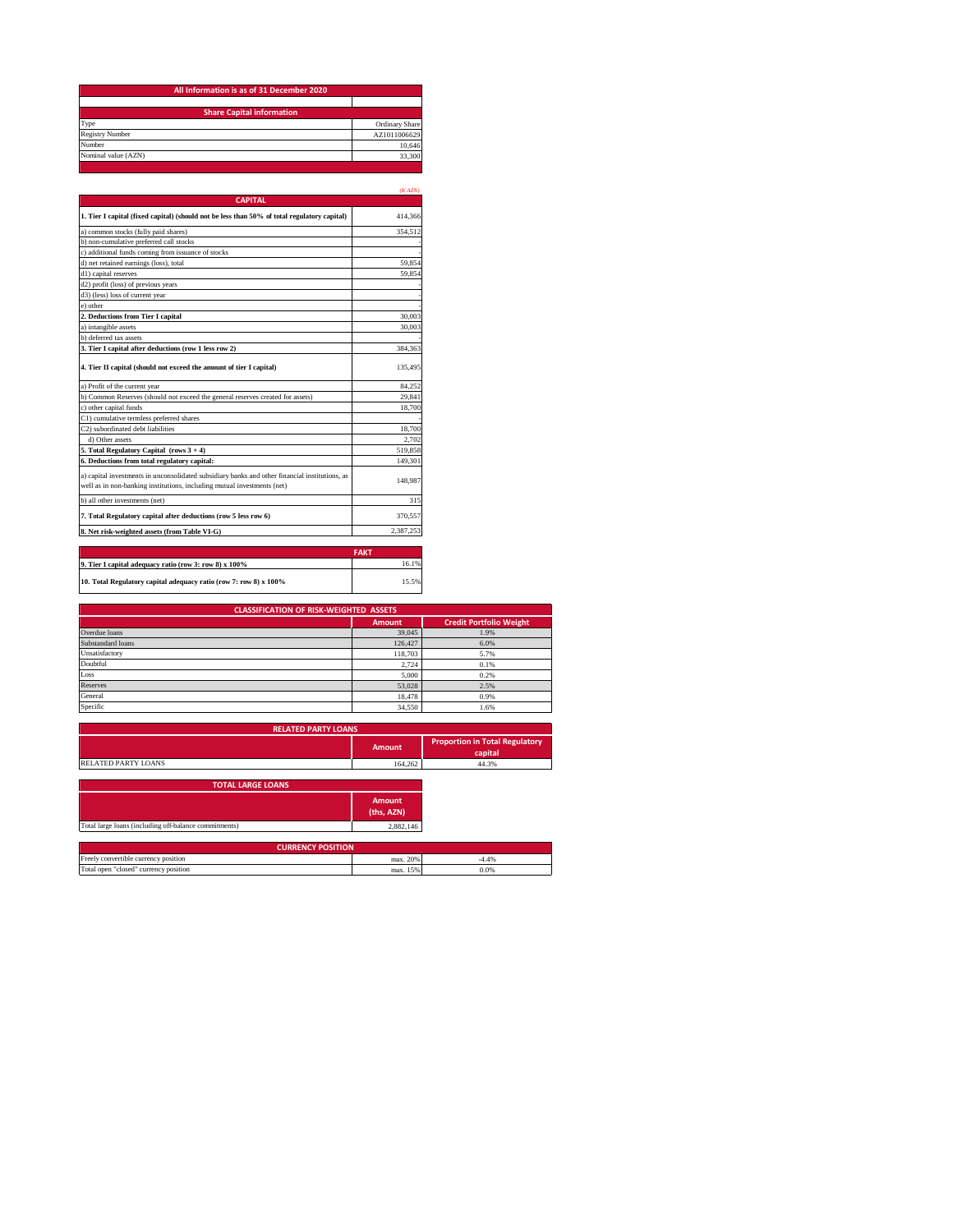| Ordinary Share |
|----------------|
| AZ1011006629   |
| 10.646         |
| 33,300         |
|                |

|                                                                                                                                                                           | (KAZN)      |
|---------------------------------------------------------------------------------------------------------------------------------------------------------------------------|-------------|
| <b>CAPITAL</b>                                                                                                                                                            |             |
| 1. Tier I capital (fixed capital) (should not be less than 50% of total regulatory capital)                                                                               | 414,366     |
| a) common stocks (fully paid shares)                                                                                                                                      | 354.512     |
| b) non-cumulative preferred call stocks                                                                                                                                   |             |
| c) additional funds coming from issuance of stocks                                                                                                                        |             |
| d) net retained earnings (loss), total                                                                                                                                    | 59.854      |
| d1) capital reserves                                                                                                                                                      | 59.854      |
| d2) profit (loss) of previous years                                                                                                                                       |             |
| d3) (less) loss of current year                                                                                                                                           |             |
| e) other                                                                                                                                                                  |             |
| 2. Deductions from Tier I capital                                                                                                                                         | 30,003      |
| a) intangible assets                                                                                                                                                      | 30.003      |
| b) deferred tax assets                                                                                                                                                    |             |
| 3. Tier I capital after deductions (row 1 less row 2)                                                                                                                     | 384,363     |
| 4. Tier II capital (should not exceed the amount of tier I capital)                                                                                                       | 135.495     |
| a) Profit of the current year                                                                                                                                             | 84.252      |
| b) Common Reserves (should not exceed the general reserves created for assets)                                                                                            | 29.841      |
| c) other capital funds                                                                                                                                                    | 18.700      |
| C1) cumulative termless preferred shares                                                                                                                                  |             |
| C2) subordinated debt liabilities                                                                                                                                         | 18,700      |
| d) Other assets                                                                                                                                                           | 2.702       |
| 5. Total Regulatory Capital (rows $3 + 4$ )                                                                                                                               | 519,858     |
| 6. Deductions from total regulatory capital:                                                                                                                              | 149.301     |
| a) capital investments in unconsolidated subsidiary banks and other financial institutions, as<br>well as in non-banking institutions, including mutual investments (net) | 148,987     |
| b) all other investments (net)                                                                                                                                            | 315         |
| 7. Total Regulatory capital after deductions (row 5 less row 6)                                                                                                           | 370,557     |
| 8. Net risk-weighted assets (from Table VI-G)                                                                                                                             | 2.387.253   |
|                                                                                                                                                                           |             |
|                                                                                                                                                                           | <b>FAKT</b> |
| 9. Tier I capital adequacy ratio (row 3: row 8) x 100%                                                                                                                    | 16.1%       |
| 10. Total Regulatory capital adequacy ratio (row 7: row 8) x 100%                                                                                                         | 15.5%       |

| <b>CLASSIFICATION OF RISK-WEIGHTED ASSETS</b> |               |                                |  |
|-----------------------------------------------|---------------|--------------------------------|--|
|                                               | <b>Amount</b> | <b>Credit Portfolio Weight</b> |  |
| Overdue loans                                 | 39,045        | 1.9%                           |  |
| Substandard loans                             | 126,427       | 6.0%                           |  |
| Unsatisfactory                                | 118,703       | 5.7%                           |  |
| Doubtful                                      | 2.724         | 0.1%                           |  |
| Loss                                          | 5,000         | 0.2%                           |  |
| Reserves                                      | 53,028        | 2.5%                           |  |
| General                                       | 18.478        | 0.9%                           |  |
| Specific                                      | 34,550        | 1.6%                           |  |

| <b>RELATED PARTY LOANS</b> |         |                                                  |
|----------------------------|---------|--------------------------------------------------|
|                            | Amount  | <b>Proportion in Total Regulatory</b><br>capital |
| <b>RELATED PARTY LOANS</b> | 164.262 | 44.3%                                            |

| <b>TOTAL LARGE LOANS</b>                              |                             |         |
|-------------------------------------------------------|-----------------------------|---------|
|                                                       | <b>Amount</b><br>(ths, AZN) |         |
| Total large loans (including off-balance commitments) | 2,882,146                   |         |
|                                                       | <b>CURRENCY POSITION</b>    |         |
| Freely convertible currency position                  | $max$ $20%$                 | $-4.4%$ |

| Freely<br>convertible<br>e currency position | 200 <sub>6</sub><br>max.  | 40 <sub>1</sub> |
|----------------------------------------------|---------------------------|-----------------|
| Total open<br>closed<br>currency position    | 1.50 <sub>2</sub><br>max. | 0.0%            |
|                                              |                           |                 |